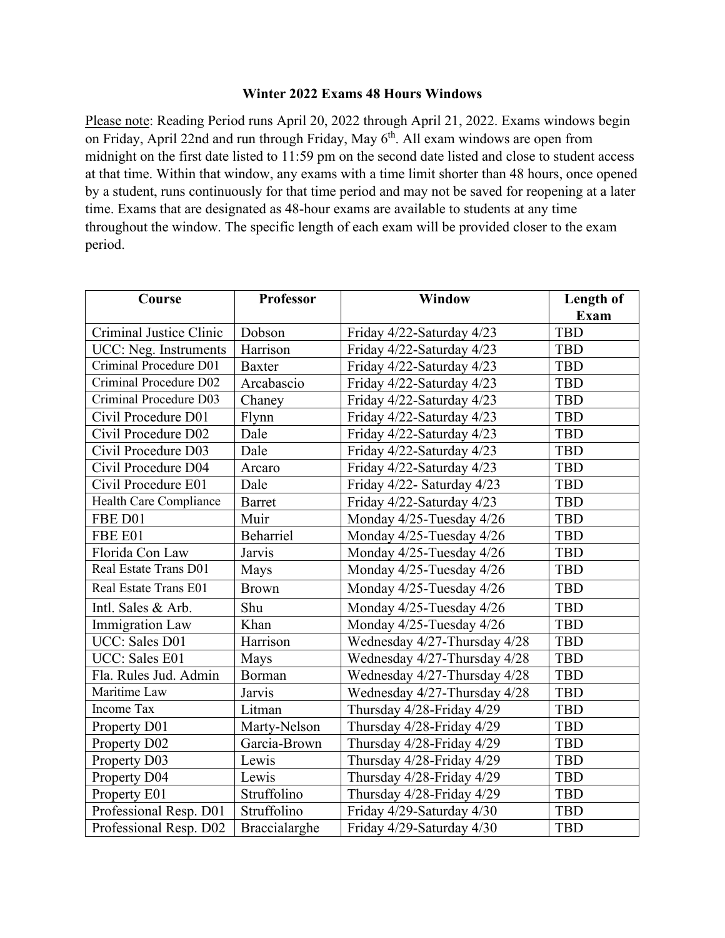## **Winter 2022 Exams 48 Hours Windows**

Please note: Reading Period runs April 20, 2022 through April 21, 2022. Exams windows begin on Friday, April 22nd and run through Friday, May  $6<sup>th</sup>$ . All exam windows are open from midnight on the first date listed to 11:59 pm on the second date listed and close to student access at that time. Within that window, any exams with a time limit shorter than 48 hours, once opened by a student, runs continuously for that time period and may not be saved for reopening at a later time. Exams that are designated as 48-hour exams are available to students at any time throughout the window. The specific length of each exam will be provided closer to the exam period.

| Course                  | <b>Professor</b> | <b>Window</b>                | Length of  |
|-------------------------|------------------|------------------------------|------------|
|                         |                  |                              | Exam       |
| Criminal Justice Clinic | Dobson           | Friday 4/22-Saturday 4/23    | <b>TBD</b> |
| UCC: Neg. Instruments   | Harrison         | Friday 4/22-Saturday 4/23    | <b>TBD</b> |
| Criminal Procedure D01  | <b>Baxter</b>    | Friday 4/22-Saturday 4/23    | <b>TBD</b> |
| Criminal Procedure D02  | Arcabascio       | Friday 4/22-Saturday 4/23    | <b>TBD</b> |
| Criminal Procedure D03  | Chaney           | Friday 4/22-Saturday 4/23    | <b>TBD</b> |
| Civil Procedure D01     | Flynn            | Friday 4/22-Saturday 4/23    | TBD        |
| Civil Procedure D02     | Dale             | Friday 4/22-Saturday 4/23    | TBD        |
| Civil Procedure D03     | Dale             | Friday 4/22-Saturday 4/23    | TBD        |
| Civil Procedure D04     | Arcaro           | Friday 4/22-Saturday 4/23    | TBD        |
| Civil Procedure E01     | Dale             | Friday 4/22- Saturday 4/23   | <b>TBD</b> |
| Health Care Compliance  | <b>Barret</b>    | Friday 4/22-Saturday 4/23    | TBD        |
| FBE D01                 | Muir             | Monday 4/25-Tuesday 4/26     | TBD        |
| FBE E01                 | <b>Beharriel</b> | Monday 4/25-Tuesday 4/26     | TBD        |
| Florida Con Law         | Jarvis           | Monday 4/25-Tuesday 4/26     | TBD        |
| Real Estate Trans D01   | Mays             | Monday 4/25-Tuesday 4/26     | TBD        |
| Real Estate Trans E01   | <b>Brown</b>     | Monday 4/25-Tuesday 4/26     | TBD        |
| Intl. Sales & Arb.      | Shu              | Monday 4/25-Tuesday 4/26     | <b>TBD</b> |
| <b>Immigration Law</b>  | Khan             | Monday 4/25-Tuesday 4/26     | <b>TBD</b> |
| UCC: Sales D01          | Harrison         | Wednesday 4/27-Thursday 4/28 | <b>TBD</b> |
| UCC: Sales E01          | Mays             | Wednesday 4/27-Thursday 4/28 | <b>TBD</b> |
| Fla. Rules Jud. Admin   | Borman           | Wednesday 4/27-Thursday 4/28 | <b>TBD</b> |
| Maritime Law            | Jarvis           | Wednesday 4/27-Thursday 4/28 | <b>TBD</b> |
| Income Tax              | Litman           | Thursday 4/28-Friday 4/29    | <b>TBD</b> |
| Property D01            | Marty-Nelson     | Thursday 4/28-Friday 4/29    | <b>TBD</b> |
| Property D02            | Garcia-Brown     | Thursday 4/28-Friday 4/29    | <b>TBD</b> |
| Property D03            | Lewis            | Thursday 4/28-Friday 4/29    | <b>TBD</b> |
| Property D04            | Lewis            | Thursday 4/28-Friday 4/29    | <b>TBD</b> |
| Property E01            | Struffolino      | Thursday 4/28-Friday 4/29    | <b>TBD</b> |
| Professional Resp. D01  | Struffolino      | Friday 4/29-Saturday 4/30    | TBD        |
| Professional Resp. D02  | Braccialarghe    | Friday 4/29-Saturday 4/30    | <b>TBD</b> |